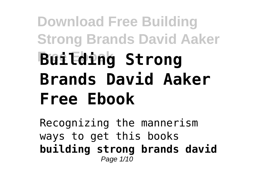## **Download Free Building Strong Brands David Aaker Free Ebook Building Strong Brands David Aaker Free Ebook**

Recognizing the mannerism ways to get this books **building strong brands david** Page 1/10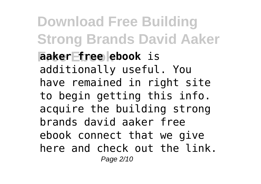**Download Free Building Strong Brands David Aaker Free Ebook aaker free ebook** is additionally useful. You have remained in right site to begin getting this info. acquire the building strong brands david aaker free ebook connect that we give here and check out the link. Page 2/10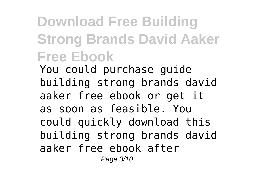## **Download Free Building Strong Brands David Aaker Free Ebook**

You could purchase guide building strong brands david aaker free ebook or get it as soon as feasible. You could quickly download this building strong brands david aaker free ebook after Page 3/10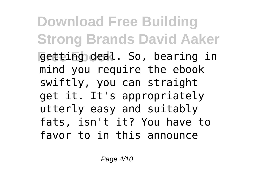**Download Free Building Strong Brands David Aaker Free Ebook** getting deal. So, bearing in mind you require the ebook swiftly, you can straight get it. It's appropriately utterly easy and suitably fats, isn't it? You have to favor to in this announce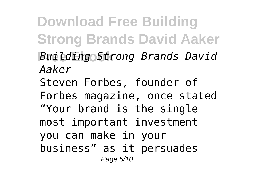**Download Free Building Strong Brands David Aaker Free Ebook** *Building Strong Brands David Aaker* Steven Forbes, founder of Forbes magazine, once stated "Your brand is the single most important investment you can make in your business" as it persuades Page 5/10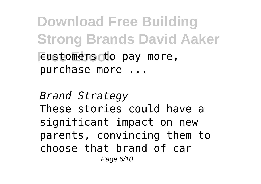**Download Free Building Strong Brands David Aaker Eustomers to pay more,** purchase more ...

*Brand Strategy* These stories could have a significant impact on new parents, convincing them to choose that brand of car Page 6/10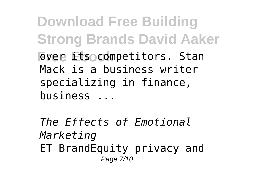**Download Free Building Strong Brands David Aaker Free Ets competitors. Stan** Mack is a business writer specializing in finance, business ...

*The Effects of Emotional Marketing* ET BrandEquity privacy and Page 7/10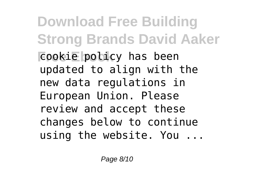**Download Free Building Strong Brands David Aaker Free Ebookie** policy has been updated to align with the new data regulations in European Union. Please review and accept these changes below to continue using the website. You ...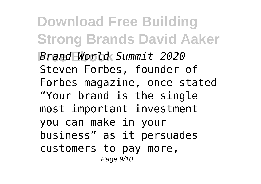**Download Free Building Strong Brands David Aaker Free Ebook** *Brand World Summit 2020* Steven Forbes, founder of Forbes magazine, once stated "Your brand is the single most important investment you can make in your business" as it persuades customers to pay more, Page 9/10